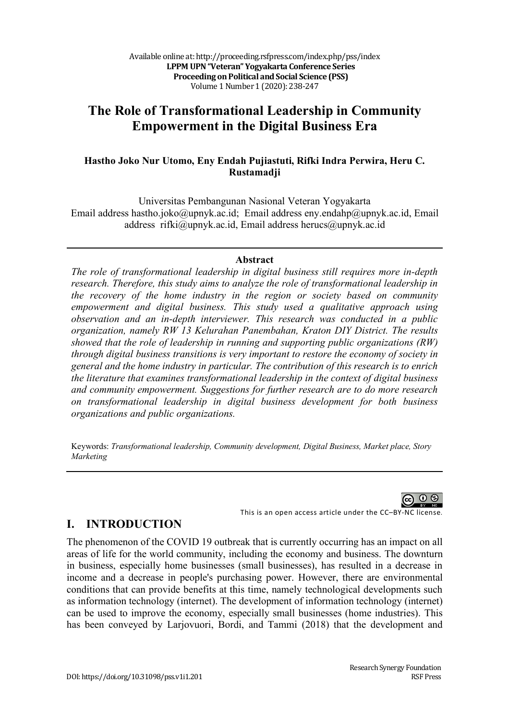# **The Role of Transformational Leadership in Community Empowerment in the Digital Business Era**

#### **Hastho Joko Nur Utomo, Eny Endah Pujiastuti, Rifki Indra Perwira, Heru C. Rustamadji**

Universitas Pembangunan Nasional Veteran Yogyakarta Email address hastho.joko@upnyk.ac.id; Email address eny.endahp@upnyk.ac.id, Email address rifki@upnyk.ac.id, Email address herucs@upnyk.ac.id

#### **Abstract**

*The role of transformational leadership in digital business still requires more in-depth research. Therefore, this study aims to analyze the role of transformational leadership in the recovery of the home industry in the region or society based on community empowerment and digital business. This study used a qualitative approach using observation and an in-depth interviewer. This research was conducted in a public organization, namely RW 13 Kelurahan Panembahan, Kraton DIY District. The results showed that the role of leadership in running and supporting public organizations (RW) through digital business transitions is very important to restore the economy of society in general and the home industry in particular. The contribution of this research is to enrich the literature that examines transformational leadership in the context of digital business and community empowerment. Suggestions for further research are to do more research on transformational leadership in digital business development for both business organizations and public organizations.*

Keywords: *Transformational leadership, Community development, Digital Business, Market place, Story Marketing*



### **I. INTRODUCTION**

The phenomenon of the COVID 19 outbreak that is currently occurring has an impact on all areas of life for the world community, including the economy and business. The downturn in business, especially home businesses (small businesses), has resulted in a decrease in income and a decrease in people's purchasing power. However, there are environmental conditions that can provide benefits at this time, namely technological developments such as information technology (internet). The development of information technology (internet) can be used to improve the economy, especially small businesses (home industries). This has been conveyed by Larjovuori, Bordi, and Tammi (2018) that the development and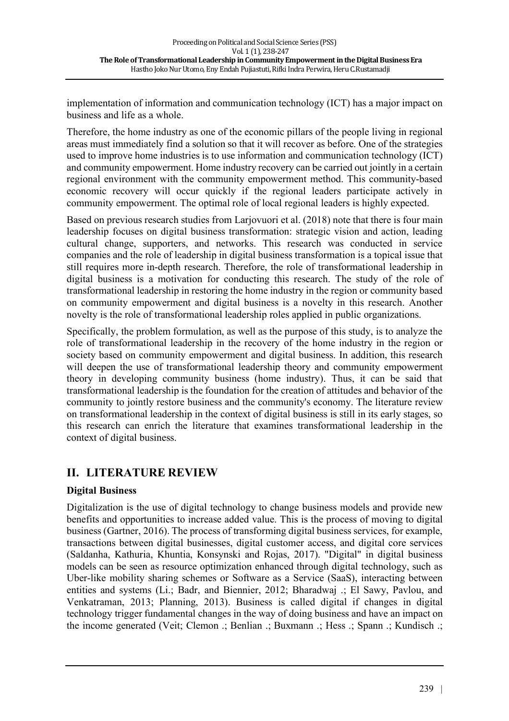implementation of information and communication technology (ICT) has a major impact on business and life as a whole.

Therefore, the home industry as one of the economic pillars of the people living in regional areas must immediately find a solution so that it will recover as before. One of the strategies used to improve home industries is to use information and communication technology (ICT) and community empowerment. Home industry recovery can be carried out jointly in a certain regional environment with the community empowerment method. This community-based economic recovery will occur quickly if the regional leaders participate actively in community empowerment. The optimal role of local regional leaders is highly expected.

Based on previous research studies from Larjovuori et al. (2018) note that there is four main leadership focuses on digital business transformation: strategic vision and action, leading cultural change, supporters, and networks. This research was conducted in service companies and the role of leadership in digital business transformation is a topical issue that still requires more in-depth research. Therefore, the role of transformational leadership in digital business is a motivation for conducting this research. The study of the role of transformational leadership in restoring the home industry in the region or community based on community empowerment and digital business is a novelty in this research. Another novelty is the role of transformational leadership roles applied in public organizations.

Specifically, the problem formulation, as well as the purpose of this study, is to analyze the role of transformational leadership in the recovery of the home industry in the region or society based on community empowerment and digital business. In addition, this research will deepen the use of transformational leadership theory and community empowerment theory in developing community business (home industry). Thus, it can be said that transformational leadership is the foundation for the creation of attitudes and behavior of the community to jointly restore business and the community's economy. The literature review on transformational leadership in the context of digital business is still in its early stages, so this research can enrich the literature that examines transformational leadership in the context of digital business.

## **II. LITERATURE REVIEW**

### **Digital Business**

Digitalization is the use of digital technology to change business models and provide new benefits and opportunities to increase added value. This is the process of moving to digital business (Gartner, 2016). The process of transforming digital business services, for example, transactions between digital businesses, digital customer access, and digital core services (Saldanha, Kathuria, Khuntia, Konsynski and Rojas, 2017). "Digital" in digital business models can be seen as resource optimization enhanced through digital technology, such as Uber-like mobility sharing schemes or Software as a Service (SaaS), interacting between entities and systems (Li.; Badr, and Biennier, 2012; Bharadwaj .; El Sawy, Pavlou, and Venkatraman, 2013; Planning, 2013). Business is called digital if changes in digital technology trigger fundamental changes in the way of doing business and have an impact on the income generated (Veit; Clemon .; Benlian .; Buxmann .; Hess .; Spann .; Kundisch .;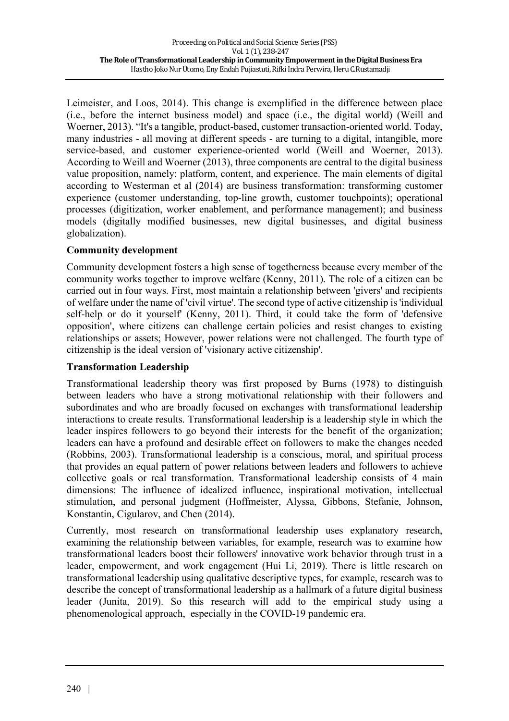Leimeister, and Loos, 2014). This change is exemplified in the difference between place (i.e., before the internet business model) and space (i.e., the digital world) (Weill and Woerner, 2013). "It's a tangible, product-based, customer transaction-oriented world. Today, many industries - all moving at different speeds - are turning to a digital, intangible, more service-based, and customer experience-oriented world (Weill and Woerner, 2013). According to Weill and Woerner (2013), three components are central to the digital business value proposition, namely: platform, content, and experience. The main elements of digital according to Westerman et al (2014) are business transformation: transforming customer experience (customer understanding, top-line growth, customer touchpoints); operational processes (digitization, worker enablement, and performance management); and business models (digitally modified businesses, new digital businesses, and digital business globalization).

#### **Community development**

Community development fosters a high sense of togetherness because every member of the community works together to improve welfare (Kenny, 2011). The role of a citizen can be carried out in four ways. First, most maintain a relationship between 'givers' and recipients of welfare under the name of 'civil virtue'. The second type of active citizenship is 'individual self-help or do it yourself' (Kenny, 2011). Third, it could take the form of 'defensive opposition', where citizens can challenge certain policies and resist changes to existing relationships or assets; However, power relations were not challenged. The fourth type of citizenship is the ideal version of 'visionary active citizenship'.

### **Transformation Leadership**

Transformational leadership theory was first proposed by Burns (1978) to distinguish between leaders who have a strong motivational relationship with their followers and subordinates and who are broadly focused on exchanges with transformational leadership interactions to create results. Transformational leadership is a leadership style in which the leader inspires followers to go beyond their interests for the benefit of the organization; leaders can have a profound and desirable effect on followers to make the changes needed (Robbins, 2003). Transformational leadership is a conscious, moral, and spiritual process that provides an equal pattern of power relations between leaders and followers to achieve collective goals or real transformation. Transformational leadership consists of 4 main dimensions: The influence of idealized influence, inspirational motivation, intellectual stimulation, and personal judgment (Hoffmeister, Alyssa, Gibbons, Stefanie, Johnson, Konstantin, Cigularov, and Chen (2014).

Currently, most research on transformational leadership uses explanatory research, examining the relationship between variables, for example, research was to examine how transformational leaders boost their followers' innovative work behavior through trust in a leader, empowerment, and work engagement (Hui Li, 2019). There is little research on transformational leadership using qualitative descriptive types, for example, research was to describe the concept of transformational leadership as a hallmark of a future digital business leader (Junita, 2019). So this research will add to the empirical study using a phenomenological approach, especially in the COVID-19 pandemic era.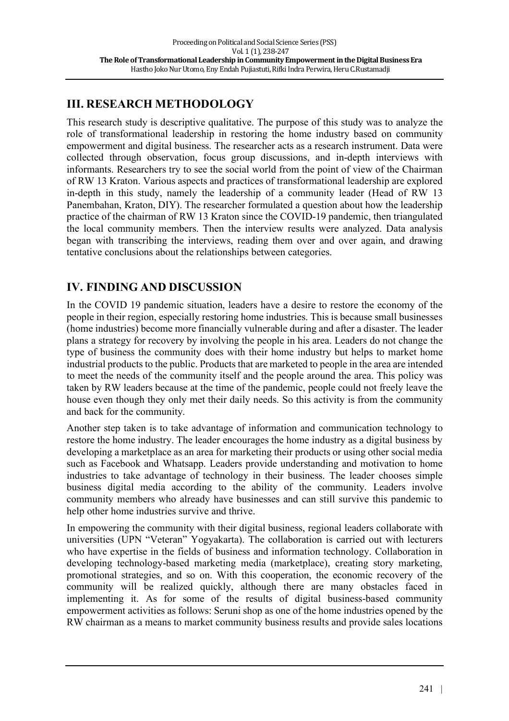# **III. RESEARCH METHODOLOGY**

This research study is descriptive qualitative. The purpose of this study was to analyze the role of transformational leadership in restoring the home industry based on community empowerment and digital business. The researcher acts as a research instrument. Data were collected through observation, focus group discussions, and in-depth interviews with informants. Researchers try to see the social world from the point of view of the Chairman of RW 13 Kraton. Various aspects and practices of transformational leadership are explored in-depth in this study, namely the leadership of a community leader (Head of RW 13 Panembahan, Kraton, DIY). The researcher formulated a question about how the leadership practice of the chairman of RW 13 Kraton since the COVID-19 pandemic, then triangulated the local community members. Then the interview results were analyzed. Data analysis began with transcribing the interviews, reading them over and over again, and drawing tentative conclusions about the relationships between categories.

# **IV. FINDING AND DISCUSSION**

In the COVID 19 pandemic situation, leaders have a desire to restore the economy of the people in their region, especially restoring home industries. This is because small businesses (home industries) become more financially vulnerable during and after a disaster. The leader plans a strategy for recovery by involving the people in his area. Leaders do not change the type of business the community does with their home industry but helps to market home industrial products to the public. Products that are marketed to people in the area are intended to meet the needs of the community itself and the people around the area. This policy was taken by RW leaders because at the time of the pandemic, people could not freely leave the house even though they only met their daily needs. So this activity is from the community and back for the community.

Another step taken is to take advantage of information and communication technology to restore the home industry. The leader encourages the home industry as a digital business by developing a marketplace as an area for marketing their products or using other social media such as Facebook and Whatsapp. Leaders provide understanding and motivation to home industries to take advantage of technology in their business. The leader chooses simple business digital media according to the ability of the community. Leaders involve community members who already have businesses and can still survive this pandemic to help other home industries survive and thrive.

In empowering the community with their digital business, regional leaders collaborate with universities (UPN "Veteran" Yogyakarta). The collaboration is carried out with lecturers who have expertise in the fields of business and information technology. Collaboration in developing technology-based marketing media (marketplace), creating story marketing, promotional strategies, and so on. With this cooperation, the economic recovery of the community will be realized quickly, although there are many obstacles faced in implementing it. As for some of the results of digital business-based community empowerment activities as follows: Seruni shop as one of the home industries opened by the RW chairman as a means to market community business results and provide sales locations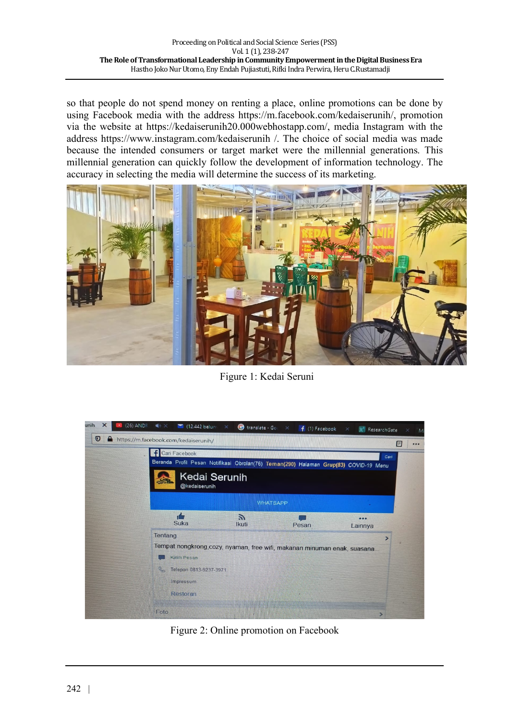so that people do not spend money on renting a place, online promotions can be done by using Facebook media with the address https://m.facebook.com/kedaiserunih/, promotion via the website at https://kedaiserunih20.000webhostapp.com/, media Instagram with the address https://www.instagram.com/kedaiserunih /. The choice of social media was made because the intended consumers or target market were the millennial generations. This millennial generation can quickly follow the development of information technology. The accuracy in selecting the media will determine the success of its marketing.



Figure 1: Kedai Seruni



Figure 2: Online promotion on Facebook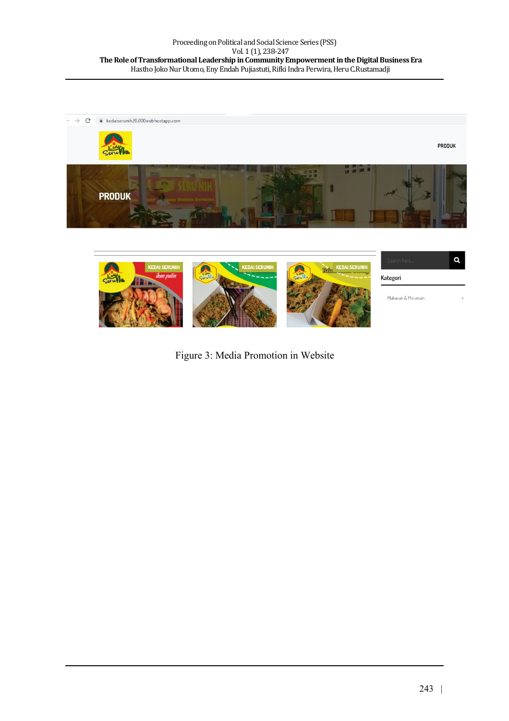



Figure 3: Media Promotion in Website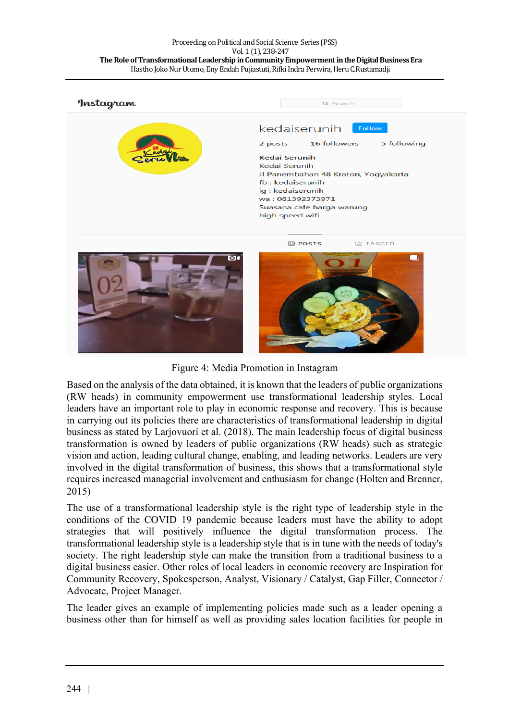#### Proceeding on Political and Social Science Series (PSS) Vol. 1 (1), 238-247 The Role of Transformational Leadership in Community Empowerment in the Digital Business Era Hastho Joko Nur Utomo, Eny Endah Pujiastuti, Rifki Indra Perwira, Heru C.Rustamadji



Figure 4: Media Promotion in Instagram

Based on the analysis of the data obtained, it is known that the leaders of public organizations (RW heads) in community empowerment use transformational leadership styles. Local leaders have an important role to play in economic response and recovery. This is because in carrying out its policies there are characteristics of transformational leadership in digital business as stated by Larjovuori et al. (2018). The main leadership focus of digital business transformation is owned by leaders of public organizations (RW heads) such as strategic vision and action, leading cultural change, enabling, and leading networks. Leaders are very involved in the digital transformation of business, this shows that a transformational style requires increased managerial involvement and enthusiasm for change (Holten and Brenner, 2015)

The use of a transformational leadership style is the right type of leadership style in the conditions of the COVID 19 pandemic because leaders must have the ability to adopt strategies that will positively influence the digital transformation process. The transformational leadership style is a leadership style that is in tune with the needs of today's society. The right leadership style can make the transition from a traditional business to a digital business easier. Other roles of local leaders in economic recovery are Inspiration for Community Recovery, Spokesperson, Analyst, Visionary / Catalyst, Gap Filler, Connector / Advocate, Project Manager.

The leader gives an example of implementing policies made such as a leader opening a business other than for himself as well as providing sales location facilities for people in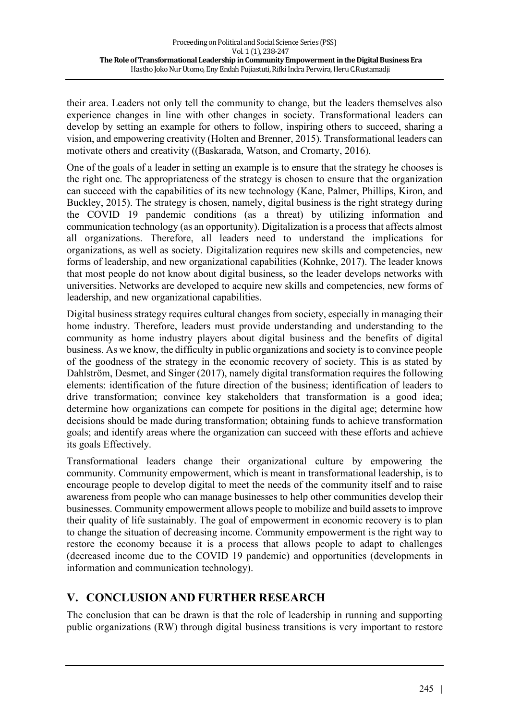their area. Leaders not only tell the community to change, but the leaders themselves also experience changes in line with other changes in society. Transformational leaders can develop by setting an example for others to follow, inspiring others to succeed, sharing a vision, and empowering creativity (Holten and Brenner, 2015). Transformational leaders can motivate others and creativity ((Baskarada, Watson, and Cromarty, 2016).

One of the goals of a leader in setting an example is to ensure that the strategy he chooses is the right one. The appropriateness of the strategy is chosen to ensure that the organization can succeed with the capabilities of its new technology (Kane, Palmer, Phillips, Kiron, and Buckley, 2015). The strategy is chosen, namely, digital business is the right strategy during the COVID 19 pandemic conditions (as a threat) by utilizing information and communication technology (as an opportunity). Digitalization is a process that affects almost all organizations. Therefore, all leaders need to understand the implications for organizations, as well as society. Digitalization requires new skills and competencies, new forms of leadership, and new organizational capabilities (Kohnke, 2017). The leader knows that most people do not know about digital business, so the leader develops networks with universities. Networks are developed to acquire new skills and competencies, new forms of leadership, and new organizational capabilities.

Digital business strategy requires cultural changes from society, especially in managing their home industry. Therefore, leaders must provide understanding and understanding to the community as home industry players about digital business and the benefits of digital business. As we know, the difficulty in public organizations and society is to convince people of the goodness of the strategy in the economic recovery of society. This is as stated by Dahlström, Desmet, and Singer (2017), namely digital transformation requires the following elements: identification of the future direction of the business; identification of leaders to drive transformation; convince key stakeholders that transformation is a good idea; determine how organizations can compete for positions in the digital age; determine how decisions should be made during transformation; obtaining funds to achieve transformation goals; and identify areas where the organization can succeed with these efforts and achieve its goals Effectively.

Transformational leaders change their organizational culture by empowering the community. Community empowerment, which is meant in transformational leadership, is to encourage people to develop digital to meet the needs of the community itself and to raise awareness from people who can manage businesses to help other communities develop their businesses. Community empowerment allows people to mobilize and build assets to improve their quality of life sustainably. The goal of empowerment in economic recovery is to plan to change the situation of decreasing income. Community empowerment is the right way to restore the economy because it is a process that allows people to adapt to challenges (decreased income due to the COVID 19 pandemic) and opportunities (developments in information and communication technology).

## **V. CONCLUSION AND FURTHER RESEARCH**

The conclusion that can be drawn is that the role of leadership in running and supporting public organizations (RW) through digital business transitions is very important to restore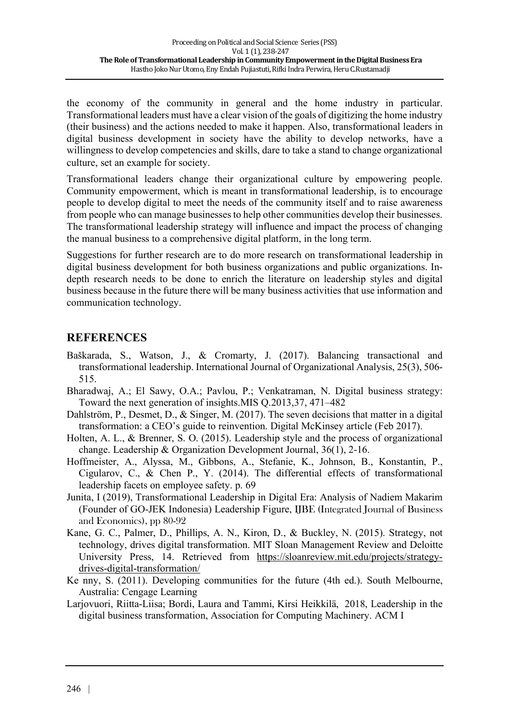the economy of the community in general and the home industry in particular. Transformational leaders must have a clear vision of the goals of digitizing the home industry (their business) and the actions needed to make it happen. Also, transformational leaders in digital business development in society have the ability to develop networks, have a willingness to develop competencies and skills, dare to take a stand to change organizational culture, set an example for society.

Transformational leaders change their organizational culture by empowering people. Community empowerment, which is meant in transformational leadership, is to encourage people to develop digital to meet the needs of the community itself and to raise awareness from people who can manage businesses to help other communities develop their businesses. The transformational leadership strategy will influence and impact the process of changing the manual business to a comprehensive digital platform, in the long term.

Suggestions for further research are to do more research on transformational leadership in digital business development for both business organizations and public organizations. Indepth research needs to be done to enrich the literature on leadership styles and digital business because in the future there will be many business activities that use information and communication technology.

### **REFERENCES**

- Baškarada, S., Watson, J., & Cromarty, J. (2017). Balancing transactional and transformational leadership. International Journal of Organizational Analysis, 25(3), 506- 515.
- Bharadwaj, A.; El Sawy, O.A.; Pavlou, P.; Venkatraman, N. Digital business strategy: Toward the next generation of insights.MIS Q.2013,37, 471–482
- Dahlström, P., Desmet, D., & Singer, M. (2017). The seven decisions that matter in a digital transformation: a CEO's guide to reinvention. Digital McKinsey article (Feb 2017).
- Holten, A. L., & Brenner, S. O. (2015). Leadership style and the process of organizational change. Leadership & Organization Development Journal, 36(1), 2-16.
- Hoffmeister, A., Alyssa, M., Gibbons, A., Stefanie, K., Johnson, B., Konstantin, P., Cigularov, C., & Chen P., Y. (2014). The differential effects of transformational leadership facets on employee safety. p. 69
- Junita, I (2019), Transformational Leadership in Digital Era: Analysis of Nadiem Makarim (Founder of GO-JEK Indonesia) Leadership Figure, IJBE (Integrated Journal of Business and Economics), pp 80-92
- Kane, G. C., Palmer, D., Phillips, A. N., Kiron, D., & Buckley, N. (2015). Strategy, not technology, drives digital transformation. MIT Sloan Management Review and Deloitte University Press, 14. Retrieved from https://sloanreview.mit.edu/projects/strategydrives-digital-transformation/
- Ke nny, S. (2011). Developing communities for the future (4th ed.). South Melbourne, Australia: Cengage Learning
- Larjovuori, Riitta-Liisa; Bordi, Laura and Tammi, Kirsi Heikkilä, 2018, Leadership in the digital business transformation, Association for Computing Machinery. ACM I